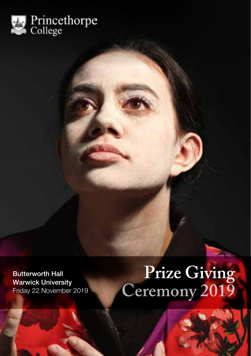

# Butterworth Hall **Prize Giving**<br>Warwick University Friday 22 November 2019 **Ceremony 2019**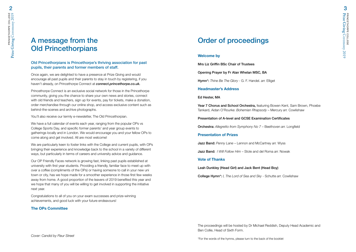### A message from the Old Princethorpians

#### Old Princethorpians is Princethorpe's thriving association for past pupils, their parents and former members of staff.

Once again, we are delighted to have a presence at Prize Giving and would encourage all past pupils and their parents to stay in touch by registering, if you haven't already, on Princethorpe Connect at *connect.princethorpe.co.uk.*

Princethorpe Connect is an exclusive social network for those in the Princethorpe community, giving you the chance to share your own news and stories, connect with old friends and teachers, sign up for events, pay for tickets, make a donation, order merchandise through our online shop, and access exclusive content such as behind-the-scenes and archive photographs.

You'll also receive our termly e-newsletter, The Old Princethorpian.

We have a full calendar of events each year, ranging from the popular OPs vs College Sports Day, and specific former parents' and year group events to gatherings locally and in London. We would encourage you and your fellow OPs to come along and get involved. All are most welcome!

We are particularly keen to foster links with the College and current pupils, with OPs bringing their experience and knowledge back to the school in a variety of different ways, but particularly in terms of careers and university advice and guidance.

Our OP Friendly Faces network is growing fast, linking past pupils established at university with first year students. Providing a friendly, familiar face to meet up with over a coffee (compliments of the OPs) or having someone to call in your new uni town or city, has we hope made for a smoother experience in those first few weeks away from home. A good proportion of the leavers of 2019 benefited this year and we hope that many of you will be willing to get involved in supporting the initiative next year.

Congratulations to all of you on your exam successes and prize-winning achievements, and good luck with your future endeavours!

#### **The OPs Committee**

### Order of proceedings

#### **Welcome by**

Mrs Liz Griffin BSc Chair of Trustees

Opening Prayer by Fr Alan Whelan MSC, BA

Hymn\*: *Thine Be The Glory* - G. F. Handel. *arr.* Elliget

#### **Headmaster's Address**

#### Ed Hester, MA

Year 7 Chorus and School Orchestra, featuring Bowen Kent, Sam Brown, Phoebe Tankard, Aidan O'Rourke: *Bohemian Rhapsody* – Mercury *arr.* Cowlishaw

#### Presentation of A-level and GCSE Examination Certificates

Orchestra: *Allegretto from Symphony No 7* – Beethoven *arr.* Longfield

#### **Presentation of Prizes**

Jazz Band: *Penny Lane* – Lennon and McCartney *arr.* Wyss

Jazz Band: *I Will Follow Him* – Stole and del Roma *arr.* Nowak

#### **Vote of Thanks**

Leah Dunkley (Head Girl) and Jack Bent (Head Boy)

College Hymn\*: *I, The Lord of Sea and Sky* - Schutte *arr.* Cowlishaw

The proceedings will be hosted by Dr Michael Reddish, Deputy Head Academic and Ben Collie, Head of Sixth Form.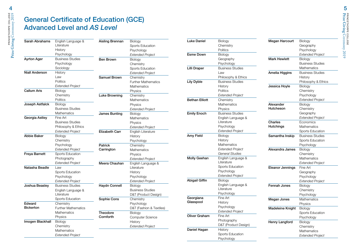### General Certificate of Education (GCE) Advanced Level and *AS Level*

| Sarah Abrahams     | English Language &         | Aisling Brennan       | Biology                    |
|--------------------|----------------------------|-----------------------|----------------------------|
|                    | Literature                 |                       | <b>Sports Education</b>    |
|                    | History                    |                       | Psychology                 |
|                    | Psychology                 |                       | <b>Extended Project</b>    |
| <b>Ayrton Ager</b> | <b>Business Studies</b>    | <b>Ben Brown</b>      | Biology                    |
|                    | Psychology                 |                       | Chemistry                  |
|                    | Sociology                  |                       | Sports Education           |
| Niall Anderson     | History                    |                       | Extended Project           |
|                    | Law                        | Samuel Brown          | Chemistry                  |
|                    | Politics                   |                       | <b>Further Mathematics</b> |
|                    | <b>Extended Project</b>    |                       | Mathematics                |
| <b>Callum Aris</b> | Biology                    |                       | Physics                    |
|                    | Chemistry                  | <b>Luke Browning</b>  | Chemistry                  |
|                    | <b>Politics</b>            |                       | Mathematics                |
| Joseph Astfalck    | <b>Biology</b>             |                       | Physics                    |
|                    | <b>Business Studies</b>    |                       | <b>Extended Project</b>    |
|                    | Mathematics                | <b>James Bunting</b>  | Biology                    |
| Georgia Astley     | Fine Art                   |                       | <b>Mathematics</b>         |
|                    | <b>Business Studies</b>    |                       | Physics                    |
|                    | Philosophy & Ethics        |                       | <b>Extended Project</b>    |
|                    | <b>Extended Project</b>    | <b>Elizabeth Carr</b> | English Literature         |
| <b>Abbie Baker</b> | Biology                    |                       | History                    |
|                    | Chemistry                  |                       | Psychology                 |
|                    | Psychology                 | <b>Patrick</b>        | Chemistry                  |
|                    | <b>Extended Project</b>    | Carrington            | <b>Mathematics</b>         |
| Freya Barnett      | Sports Education           |                       | Physics                    |
|                    | Photography                |                       | <b>Extended Project</b>    |
|                    | <b>Extended Project</b>    | Meera Chauhan         | English Language &         |
| Natasha Beadle     | Law                        |                       | Literature                 |
|                    | Sports Education           |                       | History                    |
|                    | Psychology                 |                       | Psychology                 |
|                    | <b>Extended Project</b>    |                       | <b>Extended Project</b>    |
| Joshua Beasley     | <b>Business Studies</b>    | <b>Haydn Connell</b>  | Biology                    |
|                    | English Language &         |                       | <b>Business Studies</b>    |
|                    | Literature                 |                       | D&T (Product Design)       |
|                    | Sports Education           | Sophie Cons           | Chemistry                  |
| Edward             | Chemistry                  |                       | Psychology                 |
| <b>Bickerton</b>   | <b>Further Mathematics</b> |                       | D&T (Fashion & Textiles)   |
|                    | <b>Mathematics</b>         | Theodore              | Biology                    |
|                    | Physics                    | Cornforth             | Computer Science           |
| Imogen Blackhall   | Biology                    |                       | History                    |
|                    | Chemistry                  |                       | <b>Extended Project</b>    |
|                    | Mathematics                |                       |                            |
|                    | <b>Extended Project</b>    |                       |                            |

| Luke Daniel           | Biology                 |
|-----------------------|-------------------------|
|                       | Chemistry               |
|                       | Politics                |
| <b>Esme Down</b>      | Biology                 |
|                       | Geography               |
|                       | Psychology              |
| Lilli Draper          | <b>Business Studies</b> |
|                       | Law                     |
|                       | Philosophy & Ethics     |
| Lily Dyble            | <b>Business Studies</b> |
|                       | Historv                 |
|                       | Politics                |
|                       | Extended Project        |
| <b>Bethan Elliott</b> | Chemistry               |
|                       | Mathematics             |
|                       | Physics                 |
| <b>Emily Enoch</b>    | <b>Business Studies</b> |
|                       | English Language &      |
|                       | Literature              |
|                       | Psychology              |
|                       | <b>Extended Project</b> |
| Amy Field             | Biology                 |
|                       | History                 |
|                       | Mathematics             |
|                       | Extended Project        |
|                       | General Studies         |
| Molly Geehan          | English Language &      |
|                       | Literature              |
|                       | Sports Education        |
|                       | Psychology              |
|                       | <b>Extended Project</b> |
| Abigail Giffin        | Biology                 |
|                       | English Language &      |
|                       | Literature              |
|                       | Psychology              |
| Georgiana             | Fine Art                |
| Glasspool             | History                 |
|                       | Psychology              |
|                       | Extended Project        |
| Oliver Graham         | Fine Art                |
|                       | Photography             |
|                       | D&T (Product Design)    |
| Daniel Hagan          | History                 |
|                       | Sports Education        |
|                       | Psychology              |

| Biology                     |
|-----------------------------|
| Geography                   |
| Psychology                  |
| <b>Extended Project</b>     |
| Biology                     |
| <b>Business Studies</b>     |
| Mathematics                 |
| <b>Business Studies</b>     |
| History                     |
| Philosophy & Ethics         |
| Biology                     |
| Chemistry                   |
| Psychology                  |
| <b>Extended Project</b>     |
| Biology                     |
| Chemistry                   |
| Geography                   |
| <b>Extended Project</b>     |
| Economics                   |
| Mathematics                 |
| Sports Education            |
| <b>Business Studies</b>     |
| Sports Education            |
| Psychology                  |
| Biology                     |
| Chemistry                   |
| Mathematics                 |
| <b>Extended Project</b>     |
| Fine Art                    |
| Geography                   |
| Psychology                  |
| <b>Extended Project</b>     |
| Biology                     |
|                             |
| Chemistry                   |
|                             |
| Psychology<br>Mathematics   |
|                             |
| Physics                     |
| Biology<br>Sports Education |
|                             |

Henry Langford Biology

**Chemistry** Mathematics *Extended Project*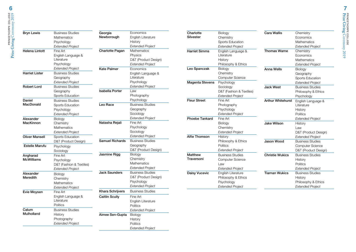| <b>Brvn Lewis</b>     | <b>Business Studies</b>     | Georgia                | Economics                            | Charlotte<br>Silvester | Biology                               | Cara Wallis              | Chemistry                        |
|-----------------------|-----------------------------|------------------------|--------------------------------------|------------------------|---------------------------------------|--------------------------|----------------------------------|
|                       | Mathematics                 | Newborough             | English Literature                   |                        | Chemistry                             |                          | Economics                        |
|                       | Psychology                  |                        | History                              |                        | Sports Education                      |                          | Mathematics                      |
|                       | <b>Extended Project</b>     |                        | <b>Extended Project</b>              |                        | <b>Extended Project</b>               |                          | <b>Extended Project</b>          |
| <b>Helena Lintott</b> | Fine Art                    | Charlotte Pagan        | Mathematics                          | <b>Harriet Simms</b>   | English Language &                    | <b>Thomas Warne</b>      | Chemistry                        |
|                       | English Language &          |                        | Physics                              |                        | Literature                            |                          | Economics                        |
|                       | Literature<br>Psychology    |                        | D&T (Product Design)                 |                        | History<br>Philosophy & Ethics        |                          | <b>Mathematics</b>               |
|                       | <b>Extended Project</b>     |                        | <b>Extended Project</b><br>Economics | Leo Spanczak           | Biology                               |                          | <b>Extended Project</b>          |
| <b>Harriet Lister</b> | <b>Business Studies</b>     | <b>Kate Palmer</b>     | English Language &                   |                        | Chemistry                             | <b>Anna Wells</b>        | Biology                          |
|                       | Geography                   |                        | Literature                           |                        | <b>Computer Science</b>               |                          | Geography                        |
|                       | <b>Extended Project</b>     |                        | Psychology                           | <b>Magenta Stevens</b> |                                       |                          | Sports Education                 |
| <b>Robert Lord</b>    | <b>Business Studies</b>     |                        | <b>Extended Project</b>              |                        | Psychology                            |                          | <b>Extended Project</b>          |
|                       | Geography                   | <b>Isabella Porter</b> | Law                                  |                        | Sociology<br>D&T (Fashion & Textiles) | <b>Jack West</b>         | <b>Business Studies</b>          |
|                       | Sports Education            |                        | Photography                          |                        | <b>Extended Project</b>               |                          | Philosophy & Ethics              |
| Daniel                | <b>Business Studies</b>     |                        | Psychology                           | <b>Fleur Street</b>    | Fine Art                              |                          | Psychology                       |
| MacDonald             | Sports Education            | Leo Race               | <b>Business Studies</b>              |                        | Photography                           | <b>Arthur Whitehurst</b> | English Language &<br>Literature |
|                       | Psychology                  |                        | Geography                            |                        | Psychology                            |                          | History                          |
|                       | <b>Extended Project</b>     |                        | Sociology                            |                        | <b>Extended Project</b>               |                          | <b>Politics</b>                  |
| Alexander             |                             |                        | <b>Extended Project</b>              | <b>Phoebe Tankard</b>  | Fine Art                              |                          | <b>Extended Project</b>          |
| MacKinnon             | <b>Biology</b><br>Chemistry | Natasha Rejali         | Fine Art                             |                        | Biology                               | <b>Jake Wilson</b>       | History                          |
|                       | Mathematics                 |                        | Psychology                           |                        | Chemistry                             |                          | Law                              |
|                       | <b>Extended Project</b>     |                        | Sociology                            |                        | <b>Extended Project</b>               |                          | D&T (Product Desigr              |
| <b>Oliver Mansell</b> | Sports Education            |                        | <b>Extended Project</b>              | Alfie Thomson          | History                               |                          | <b>Extended Project</b>          |
|                       | D&T (Product Design)        | <b>Samuel Richards</b> | <b>Business Studies</b>              |                        | Philosophy & Ethics                   | <b>Jason Wood</b>        | <b>Business Studies</b>          |
| <b>Estelle Marufu</b> | Psychology                  |                        | Geography                            |                        | Politics                              |                          | <b>Computer Science</b>          |
|                       | Sociology                   |                        | D&T (Product Design)                 |                        | <b>Extended Project</b>               |                          | D&T (Product Design              |
| Angharad              | Fine Art                    | Jasmine Rigg           | Biology                              | <b>Matthew</b>         | <b>Business Studies</b>               | <b>Christie Wukics</b>   | <b>Business Studies</b>          |
| <b>McWilliams</b>     | Psychology                  |                        | Chemistry                            | Traversoni             | <b>Computer Science</b>               |                          | History                          |
|                       | D&T (Fashion & Textiles)    |                        | <b>Mathematics</b>                   |                        | Law                                   |                          | Politics                         |
|                       | <b>Extended Project</b>     |                        | <b>Extended Project</b>              |                        | <b>Extended Project</b>               |                          | <b>Extended Project</b>          |
| Alexander             | <b>Biology</b>              | <b>Jack Saunders</b>   | <b>Business Studies</b>              | <b>Daisy Vucevic</b>   | English Literature                    | <b>Tiarnan Wukics</b>    | Business Studies                 |
| Meredith              | Chemistry                   |                        | D&T (Product Design)                 |                        | Philosophy & Ethics                   |                          | History                          |
|                       | Mathematics                 |                        | Psychology                           |                        | Psychology                            |                          | Philosophy & Ethics              |
|                       | <b>Extended Project</b>     |                        | <b>Extended Project</b>              |                        | <b>Extended Project</b>               |                          | <b>Extended Project</b>          |
| Evie Moysen           | Fine Art                    | Khara Schrijvers       | <b>Business Studies</b>              |                        |                                       |                          |                                  |
|                       | English Language &          | <b>Caitlin Scully</b>  | Fine Art                             |                        |                                       |                          |                                  |
|                       | Literature                  |                        | English Literature                   |                        |                                       |                          |                                  |
|                       | <b>Politics</b>             |                        | <b>Politics</b>                      |                        |                                       |                          |                                  |
| Calum                 | <b>Business Studies</b>     |                        | <b>Extended Project</b>              |                        |                                       |                          |                                  |
| Mulholland            | History                     | Aimee Sen-Gupta        | Biology                              |                        |                                       |                          |                                  |
|                       | Photography                 |                        | History                              |                        |                                       |                          |                                  |
|                       | <b>Extended Project</b>     |                        | Politics                             |                        |                                       |                          |                                  |
|                       |                             |                        |                                      |                        |                                       |                          |                                  |

D&T (Product Design) *Extended Project*

Computer Science D&T (Product Design)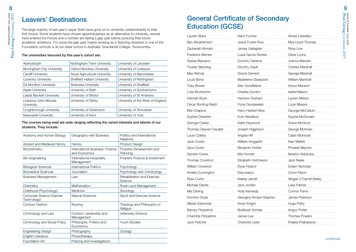### Leavers' Destinations

PRINCETHORPE COLLEGE **Prize Giving Ceremony 2019** Prize Giving Ceremony 2019 Co

The large majority of last year's Upper Sixth have gone on to university, predominantly to their first choice. Some students have chosen apprenticeships as an alternative to university, several have entered the Forces and a number are taking a gap year before pursuing their future academic ambitions. For some the gap year means working as a Teaching Assistant in one of the Foundation schools or at our sister school in Australia: Downlands College, Toowoomba.

#### The universities favoured by this year's cohort are:

| Nottingham Trent University   | University of Leicester           |
|-------------------------------|-----------------------------------|
| Oxford Brookes University     | University of Liverpool           |
| Royal Agricultural University | University of Manchester          |
| Sheffield Hallam University   | University of Nottingham          |
| Swansea University            | University of Sheffield           |
| University of Bath            | University of Southampton         |
| University of Bristol         | University of St Andrews          |
| University of Derby           | University of the West of England |
| University of Greenwich       | University of Worcester           |
| University of Kent            | University of York                |
|                               |                                   |

#### The courses being read are wide ranging reflecting the varied interests and talents of our students. They include:

| Anatomy and Human Biology                     | Geography with Business                          | Politics and International<br>Relations |
|-----------------------------------------------|--------------------------------------------------|-----------------------------------------|
| Ancient and Medieval History                  | History                                          | Product Design                          |
| Biochemistry                                  | International Business, Finance<br>and Economics | Property Development and<br>Planning    |
| Bio-engineering                               | International Hospitality<br>Management          | Property Finance & Investment           |
| <b>Biological Sciences</b>                    | <b>International Politics</b>                    | Psychology                              |
| <b>Biomedical Sciences</b>                    | Journalism                                       | Psychology with Criminology             |
| <b>Business Management</b>                    | Law                                              | Rehabilitation and Exercise<br>Science  |
| Chemistry                                     | <b>Mathematics</b>                               | Rural Land Management                   |
| Childhood (Psychology)                        | Medicine                                         | Sociology                               |
| <b>Computer Science (Games</b><br>Technology) | Natural Sciences                                 | Sport and Exercise Science              |
| Contour Fashion                               | Nursing                                          | Theology and Philosophy of<br>Religion  |
| Criminology and Law                           | Outdoor Leadership and<br>Management             | Veterinary Science                      |
| Criminology and Social Policy                 | Philosophy, Politics and<br>Economics            | Youth Studies                           |
| Engineering Design                            | Photography                                      | Zoology                                 |
| English Literature                            | Physiotherapy                                    |                                         |
| Foundation Art                                | Policing and Investigations                      |                                         |

### General Certificate of Secondary Education (GCSE)

| Lauren Abba                    | Henri Fuchss<br>Aimee Llewellyn |                          |
|--------------------------------|---------------------------------|--------------------------|
| Ben Abrahamson                 | Jesus Fuster-Ruiz               | Mya Lloyd-Thomas         |
| Zackariah Ahmed                | James Gallagher                 | Ross Low                 |
| Frederick Barnes               | Luisa Garcia-Stokes             | Oliver Lyons             |
| Saskia Bassano                 | Dominic Garland                 | Joshua Mander            |
| <b>Trystan Bending</b>         | Dorothy Gault                   | <b>Charles Marshall</b>  |
| Max Bishop                     | Gracie Gerrard                  | George Marshall          |
| Louis Bond                     | Madeleine Glasspool             | William Marshall         |
| <b>Toby Bower</b>              | Alex Goodfellow                 | <b>Grace Marston</b>     |
| Luke Brotherton                | Charles Gordon                  | <b>Isabel Mason</b>      |
| Hannah Bryer                   | Harrison Graham                 | Lauren Mason             |
| Oscar Bunting Relph            | Fiona Gunaseelan                | Louis Mayers             |
| Ellis Chaplow                  | Harry Harbert-Boe               | Georgia McCallum         |
| Sophie Cheshire                | Evie Headland                   | Sophie McDonald          |
| Georgie Clarke                 | Katie Heywood                   | Grace McGrory            |
| <b>Thomas Cleaver-Cavalier</b> | Joseph Higginson                | George McInnes           |
| Louis Coleby                   | Angela Hill                     | Calan McIntosh           |
| Jack Cooke                     | William Hoggarth                | Kian Mellett             |
| Zara Cooke                     | Benjamin Holder                 | Phoebe Meyrick           |
| Damien Cowie                   | Mia Hornett                     | Newton Ndukuba           |
| Thomas Crowfoot                | Elizabeth Hutcheson             | <b>Jack Neale</b>        |
| William Crowfoot               | Elyse Hyland                    | Evelyn Nicholas          |
| Amelia Cunnington              | Elsa Isaacs                     | Conor Nixon              |
| Ross Curtis                    | Keeley Jarrett                  | Abigail O'Carroll-Bailey |
| Michael Dardis                 | Jack Jordan                     | Luke Palmer              |
| Mia Darling                    | Holly Kennedy                   | <b>Connor Parris</b>     |
| Dominic Doyle                  | Georgina Kimani-Stephen         | James Paterson           |
| Allister Edmonds               | Arran Knight                    | Hugo Petry               |
| <b>Barney Fitzpatrick</b>      | Boldizsar Kordas                | Angus Potter             |
| Charlotte Fitzpatrick          | James Lee                       | <b>Thomas Powers</b>     |
| Jack Fletcher                  | <b>Charlotte Lister</b>         | Prajeet Prabakaran       |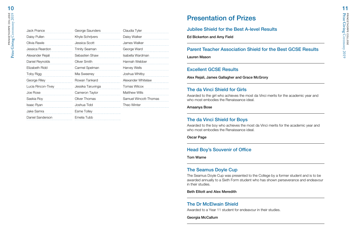| Jack Prance        | George Saunders       | Claudia Tyler         |
|--------------------|-----------------------|-----------------------|
| Daisy Pullen       | Khyle Schrijvers      | Daisy Walker          |
| Olivia Rawle       | Jessica Scott         | James Walker          |
| Jessica Reardon    | <b>Trinity Seaman</b> | George Ward           |
| Alexander Rejali   | Sebastien Shaw        | Isabella Wardman      |
| Daniel Reynolds    | Oliver Smith          | Hannah Webber         |
| Elizabeth Ridd     | Carmel Spelman        | Harvey Wells          |
| Toby Rigg          | Mia Sweeney           | Joshua Whitby         |
| George Riley       | Rowan Tankard         | Alexander Whitelaw    |
| Lucia Rincon-Tivey | Jessika Taruvinga     | Tomas Wilcox          |
| Joe Rose           | Cameron Taylor        | <b>Matthew Wills</b>  |
| Saskia Roy         | Oliver Thomas         | Samuel Wincott-Thomas |
| Isaac Ryan         | Joshua Tidd           | Theo Winter           |
| Jake Samra         | <b>Esme Tolley</b>    |                       |
| Daniel Sanderson   | Emelia Tubb           |                       |

### Presentation of Prizes

#### Jubilee Shield for the Best A-level Results

Ed Bickerton and Amy Field

#### Parent Teacher Association Shield for the Best GCSE Results

Lauren Mason

#### Excellent GCSE Results

Alex Rejali, James Gallagher and Grace McGrory

#### The da Vinci Shield for Girls

Awarded to the girl who achieves the most da Vinci merits for the academic year and who most embodies the Renaissance ideal

#### Amaanya Bose

#### The da Vinci Shield for Boys

Awarded to the boy who achieves the most da Vinci merits for the academic year and who most embodies the Renaissance ideal.

Oscar Page

#### Head Boy's Souvenir of Office

Tom Warne

#### The Seamus Doyle Cup

The Seamus Doyle Cup was presented to the College by a former student and is to be awarded annually to a Sixth Form student who has shown perseverance and endeavour in their studies.

#### Beth Elliott and Alex Meredith

#### The Dr McElwain Shield

Awarded to a Year 11 student for endeavour in their studies.

Georgia McCallum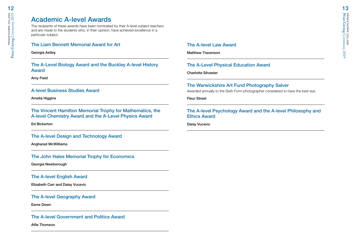### Academic A-level Awards

The recipients of these awards have been nominated by their A-level subject teachers and are made to the students who, in their opinion, have achieved excellence in a particular subject.

#### The Liam Bennett Memorial Award for Art

Georgia Astley

The A-Level Biology Award and the Buckley A-level History Award

Amy Field

#### A-level Business Studies Award

Amelia Higgins

The Vincent Hamilton Memorial Trophy for Mathematics, the A-level Chemistry Award and the A-Level Physics Award

Ed Bickerton

#### The A-level Design and Technology Award

Angharad McWilliams

#### The John Hales Memorial Trophy for Economics

Georgia Newborough

#### The A-level English Award

Elizabeth Carr and Daisy Vucevic

#### The A-level Geography Award

Esme Down

#### The A-level Government and Politics Award

Alfie Thomson

#### The A-level Law Award

Matthew Traversoni

#### The A-Level Physical Education Award

Charlotte Silvester

#### The Warwickshire Art Fund Photography Salver

Awarded annually to the Sixth Form photographer considered to have the best eye.

Fleur Street

#### The A-level Psychology Award and the A-level Philosophy and Ethics Award

Daisy Vucevic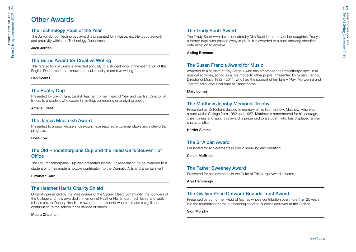### Other Awards

#### The Technology Pupil of the Year

The Junior School Technology award is presented for initiative, excellent coursework and creativity within the Technology Department.

#### Jack Jordan

#### The Burns Award for Creative Writing

This rare edition of Burns is awarded annually to a student who, in the estimation of the English Department, has shown particular ability in creative writing.

#### Ben Scares

#### The Poetry Cup

Presented by David Hare, English teacher, former Head of Year and our first Director of Ethos, to a student who excels in reciting, composing or analysing poetry.

#### Amelie Friess

#### The James MacLeish Award

Presented to a pupil whose endeavours have resulted in commendable and noteworthy progress.

#### Ross Low

#### The Old Princethorpians Cup and the Head Girl's Souvenir of **Office**

The Old Princethorpians Cup was presented by the OP Association, to be awarded to a student who has made a notable contribution to the Dramatic Arts and Entertainment

#### Elizabeth Carr

#### The Heather Harris Charity Shield

Originally presented by the Missionaries of the Sacred Heart Community, the founders of the College and now awarded in memory of Heather Harris, our much loved and sadly missed former Deputy Head; it is awarded to a student who has made a significant contribution to the school in the service of others.

#### Meera Chauhan

#### The Trudy Scott Award

The Trudy Scott Award was donated by Mrs Scott in memory of her daughter, Trudy a former pupil who passed away in 2013. It is awarded to a pupil showing steadfast determination to achieve.

#### Aisling Brennan

#### The Susan Francis Award for Music

Awarded to a student at Key Stage 4 who has embraced the Princethorpe spirit in all musical activities, acting as a role model to other pupils. Presented by Susan Francis, Director of Music 1982 - 2011, who had the support of her family (Ray, Morwenna and Trystan) throughout her time at Princethorpe.

#### Mary Lomas

#### The Matthew Jacoby Memorial Trophy

Presented by Dr Richard Jacoby in memory of his late nephew, Matthew, who was a pupil at the College from 1982 until 1987. Matthew is remembered for his courage, cheerfulness and spirit; this award is presented to a student who has displayed similar characteristics.

#### Harriet Simms

#### The Sr Alban Award

Presented for achievements in public speaking and debating.

Caitlin McBride

#### The Father Sweeney Award

Presented for achievements in the Duke of Edinburgh Award scheme.

Alys Hemmings

#### The Gwilym Price Outward Bounds Trust Award

Presented by our former Head of Games whose contribution over more than 25 years laid the foundation for the outstanding sporting success achieved at the College.

#### Sion Murphy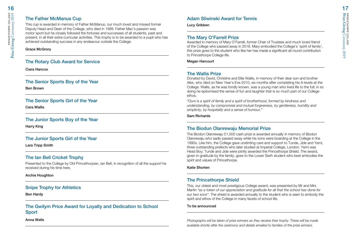#### The Father McManus Cup

This cup is awarded in memory of Father McManus, our much loved and missed former Deputy Head and Dean of the College, who died in 1999. Father Mac's passion was motor sport but he closely followed the fortunes and successes of all students, past and present, in all their extra-curricular activities. This trophy is to be awarded to a pupil who has achieved outstanding success in any endeavour outside the College.

#### Grace McGrory

#### The Rotary Club Award for Service

Ciara Hancox

#### The Senior Sports Boy of the Year

Ben Brown

### The Senior Sports Girl of the Year

Cara Wallis

#### The Junior Sports Boy of the Year

Harry King

#### The Junior Sports Girl of the Year

Lara Tripp Smith

#### The Ian Bell Cricket Trophy

Presented to the College by Old Princethorpian, Ian Bell, in recognition of all the support he received during his time here.

#### Archie Houghton

#### Snipe Trophy for Athletics

Ben Hardy

The Gwilym Price Award for Loyalty and Dedication to School Sport

Anna Wells

### Adam Sliwinski Award for Tennis

Lucy Gribben

#### The Mary O'Farrell Prize

Awarded in memory of Mary O'Farrell, former Chair of Trustees and much loved friend of the College who passed away in 2018. Mary embodied the College's 'spirit of family', this prize goes to the student who like her has made a significant all round contribution to Princethorpe College life.

Megan Harcourt

#### The Wallis Prize

Donated by David, Christine and Ellie Wallis, in memory of their dear son and brother Alex, who died on New Year's Eve 2010, six months after completing his A-levels at the College. Wallis, as he was fondly known, was a young man who lived life to the full; in so doing he epitomised the sense of fun and laughter that is so much part of our College ethos.

*"Ours is a spirit of family and a spirit of brotherhood, formed by kindness and understanding, by compromise and mutual forgiveness, by gentleness, humility and simplicity, by hospitality and a sense of humour."*

#### Sam Richards

#### The Biodun Olanrewaju Memorial Prize

The Biodun Olanrewaju £1,000 cash prize is awarded annually in memory of Biodun Olanrewaju who sadly passed away while his sons were boarding at the College in the 1990s. Like him, the College gave unstinting care and support to Tunde, Jide and Yemi, three outstanding prefects who later studied at Imperial College, London. Yemi was Head Boy; Tunde and Jide were jointly awarded the Princethorpe Shield. The award, given in gratitude by the family, goes to the Lower Sixth student who best embodies the spirit and values of Princethorpe.

#### Katie Shorten

#### The Princethorpe Shield

This, our oldest and most prestigious College award, was presented by Mr and Mrs Martin *"as a token of our appreciation and gratitude for all that the school has done for our two sons"*. The shield is awarded annually to the student who is seen to embody the spirit and ethos of the College in many facets of school life.

#### To be announced

*Photographs will be taken of prize winners as they receive their trophy. These will be made available shortly after the ceremony and details emailed to families of the prize winners.*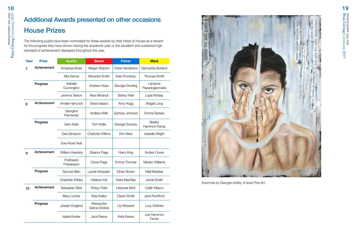## Additional Awards presented on other occasions House Prizes

The following pupils have been nominated for these awards by their Head of House as a reward for the progress they have shown during the academic year or the excellent and sustained high standard of achievement displayed throughout the year.

| Year | <b>Prize</b> | <b>Austin</b>           | <b>Benet</b>                | <b>Fisher</b>       | <b>More</b>                |
|------|--------------|-------------------------|-----------------------------|---------------------|----------------------------|
| 7    | Achievement  | Amaanya Bose            | Megan Shipton               | Chloe Henderson     | Samantha Borland           |
|      |              | Mia Samra               | <b>Benedict Smith</b>       | Kate Pomerlau       | <b>Thomas Smith</b>        |
|      | Progress     | Isabella<br>Cunnington  | Andrew Hope                 | Georgia Dowling     | Lampros<br>Papadogiannakis |
|      |              | Jemima Teeton           | Alice Minshull              | Sidney Weir         | Layla Wolsey               |
| 8    | Achievement  | Amelie Hancock          | Grace Isaacs                | Amy Hogg            | Abigail Long               |
|      |              | Georgina<br>Parmenter   | <b>Andrew Wills</b>         | Zachary Johnson     | <b>Emma Sarkies</b>        |
|      | Progress     | Sam Astle               | <b>Tom Hollis</b>           | George Downey       | Beatriz<br>Hammon Ferraz   |
|      |              | Zara Simpson            | <b>Charlotte Wilkins</b>    | Erin West           | <b>Isabelle Wright</b>     |
|      |              | Evie-Rose Teall         |                             |                     |                            |
| 9    | Achievement  | <b>William Hawkins</b>  | Eleanor Page                | Harry King          | Amber Cowie                |
|      |              | Pratheesh<br>Prabakaran | Oscar Page                  | Emma Thomas         | Madoc Williams             |
|      | Progress     | Samuel Allen            | Laurel Arkesden             | Ethan Brown         | Niall Meades               |
|      |              | Charlotte Wildey        | Helaina Holt                | Keira MacRae        | Jamie Smith                |
| 10   | Achievement  | Sebastian Dibb          | Robyn Field                 | Harpreet Birdi      | Caitlin Mason              |
|      |              | Mary Lomas              | <b>Elsie Kelley</b>         | Ciaran Smith        | Jack Rochford              |
|      | Progress     | Joseph England          | Alessandra<br>Garcia-Stokes | <b>Lily Breward</b> | Lucy Gribben               |
|      |              | <b>Isabel Koster</b>    | <b>Jack Reeve</b>           | Kate Keane          | Joe Hammon<br>Ferraz       |



*Insomnia by Georgia Astley, A-level Fine Art.*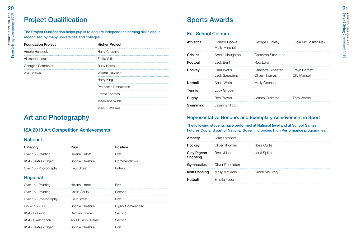### Project Qualification

The Project Qualification helps pupils to acquire independent learning skills and is recognised by many universities and colleges.

| <b>Foundation Project</b> | <b>Higher Project</b>  |  |
|---------------------------|------------------------|--|
| Amelie Hancock            | Harry Cheshire         |  |
| Alexander Leret           | Emilia Giffin          |  |
| Georgina Parmenter        | <b>Ruby Harris</b>     |  |
| Zoe Shayler               | <b>William Hawkins</b> |  |
|                           | Harry King             |  |
|                           | Pratheesh Prabakaran   |  |
|                           | Emma Thomas            |  |
|                           | Madeleine Wilde        |  |
|                           | Madoc Williams         |  |

### Art and Photography

#### ISA 2019 Art Competition Achievements

#### **National**

| Category              | Pupil           | Position     |
|-----------------------|-----------------|--------------|
| Over 16 - Painting    | Helena Lintott  | Hirst        |
| KS4 - Textiles Object | Sophie Cheshire | Commendation |
| Over 16 - Photography | Fleur Street    | ⊢ntrant      |

#### Regional

| Over 16 - Painting    | Helena Lintott       | -irst            |
|-----------------------|----------------------|------------------|
| Over 16 - Painting    | Caitiln Scullv       | Second           |
| Over 16 - Photography | <b>Fleur Street</b>  | First            |
| Under 16 - 3D         | Sophie Cheshire      | Highly Commended |
| KS4 - Drawing         | Damian Cowie         | Second           |
| KS4 - Sketchbook      | Abi O'Carroll Bailey | :econd           |
| KS4 - Textiles Object | rhie Cheshire        |                  |

### Sports Awards

#### Full School Colours

| <b>Athletics</b> | Connor Cooke<br>Molly Minshull | George Dunkley                              | Lucia McCosker-New            |
|------------------|--------------------------------|---------------------------------------------|-------------------------------|
| Cricket          | Archie Houghton                | Cameron Steventon                           |                               |
| Football         | Jack Bent                      | Rob Lord                                    |                               |
| Hockey           | Cara Wallis<br>Jack Saunders   | <b>Charlotte Silvester</b><br>Oliver Thomas | Freya Barnett<br>Olly Mansell |
| Netball          | Anna Wells                     | Molly Geehan                                |                               |
| Tennis           | Lucy Gribben                   |                                             |                               |
| Rugby            | Ben Brown                      | James Crabtree                              | Tom Warne                     |
| Swimming         | Jasmine Rigg                   |                                             |                               |

#### Representative Honours and Exemplary Achievement in Sport

The following students have performed at National level and at School Games, Futures Cup and part of National Governing bodies High Performance programmes:

| Archery                        | Jake Lambert     |               |
|--------------------------------|------------------|---------------|
| Hockey                         | Oliver Thomas    | Ross Curtis   |
| <b>Clay Pigeon</b><br>Shooting | Ben Killian      | Jonti Spilman |
| Gymnastics                     | Oliver Pendleton |               |
| Irish Dancing                  | Molly McGrory    | Grace McGrory |
| Netball                        | Emelia Tubb      |               |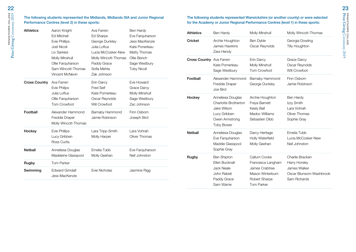#### The following students represented the Midlands, Midlands ISA and Junior Regional Performance Centres (level 2) in these sports:

| <b>Athletics</b>     | Aaron Knight<br>Ed Mitchell<br><b>Evie Phillips</b><br><b>Joel Nicoll</b><br>Liv Sarkies<br>Molly Minshull<br>Ollie Farguharson<br>Sam Wincott-Thomas<br>Vincent McNevin | Ava Farren<br>Ed Sharpe<br>George Dunkley<br>Julia Loftus<br>Lucia McCosker-New<br>Molly Wincott-Thomas<br>Paddy Grace<br>Sofia Mehta<br>Zak Johnson | Ben Hardy<br>Eve Farquharson<br>Jess MacKenzie<br>Kate Ponerleau<br>Matty Thomas<br>Ollie Bench<br>Sage Westbury<br><b>Toby Nicoll</b> |
|----------------------|--------------------------------------------------------------------------------------------------------------------------------------------------------------------------|------------------------------------------------------------------------------------------------------------------------------------------------------|----------------------------------------------------------------------------------------------------------------------------------------|
| <b>Cross Country</b> | Ava Farren<br><b>Evie Philips</b><br>Julia Loftus<br>Ollie Farguharson<br><b>Tom Crowfoot</b>                                                                            | Erin Darcy<br>Fred Self<br>Kate Pomerleau<br>Oscar Reynolds<br>Will Crowfoot                                                                         | Eve Howard<br>Grace Darcy<br>Molly Minshull<br>Sage Westbury<br>Zac Johnson                                                            |
| Football             | Alexander Hammond<br>Freddie Draper<br>Molly Wincott-Thomas                                                                                                              | Barnaby Hammond<br>Jamie Robinson                                                                                                                    | Finn Osborn<br>Joseph Bird                                                                                                             |
| Hockey               | Evie Phillips<br>Lucy Gribben<br>Ross Curtis                                                                                                                             | Lara Tripp-Smith<br>Molly Harper                                                                                                                     | Lara Vohrah<br>Oliver Thomas                                                                                                           |
| Netball              | Anneliesa Douglas<br>Madeleine Glasspool                                                                                                                                 | Emelia Tubb<br>Molly Geehan                                                                                                                          | Eve Farguharson<br>Nell Johnston                                                                                                       |
| Rugby                | <b>Tom Parker</b>                                                                                                                                                        |                                                                                                                                                      |                                                                                                                                        |
| Swimming             | <b>Edward Grindall</b><br>Jess MacKenzie                                                                                                                                 | Evie Nicholas                                                                                                                                        | Jasmine Rigg                                                                                                                           |

#### The following students represented Warwickshire (or another county) or were selected for the Academy or Junior Regional Performance Centres (level 1) in these sports:

| <b>Athletics</b>                | Ben Hardy                                                                                                       | Molly Minshull                                                                                                | Molly Wincott-Thomas                                                                        |
|---------------------------------|-----------------------------------------------------------------------------------------------------------------|---------------------------------------------------------------------------------------------------------------|---------------------------------------------------------------------------------------------|
| Cricket                         | Archie Houghton<br>James Hawkins<br>Zara Hendy                                                                  | Ben Dyble<br>Oscar Reynolds                                                                                   | Georgia Dowling<br><b>Tilly Houghton</b>                                                    |
| <b>Cross Country</b> Ava Farren | Kate Pomerleau<br>Sage Westbury                                                                                 | Erin Darcy<br>Molly Minshull<br>Tom Crowfoot                                                                  | Grace Darcy<br>Oscar Reynolds<br>Will Crowfoot                                              |
| Football                        | Alexander Hammond<br>Freddie Draper<br>Joe Bird                                                                 | Barnaby Hammond<br>George Dunkley                                                                             | Finn Osborn<br>Jamie Robinson                                                               |
| Hockey                          | Anneliesa Douglas<br>Charlotte Brotherton<br>Jake Wilson<br>Lucy Gribben<br>Owen Armstrong<br><b>Toby Bower</b> | Archie Houghton<br>Freya Barnett<br>Keely Ball<br>Madoc Williams<br>Sebastien Dibb                            | Ben Hardy<br>Izzy Smith<br>Lara Vohrah<br>Oliver Thomas<br>Sophie Gray                      |
| <b>Netball</b>                  | Anneliesa Douglas<br>Eve Farquharson<br>Maddie Glasspool<br>Sophie Gray                                         | Darcy Heritage<br>Holly Waterfield<br>Molly Geehan                                                            | Emelia Tubb<br>Lucia McCosker-New<br>Nell Johnston                                          |
| Rugby                           | <b>Ben Shipton</b><br>Ellen Bucknall<br><b>Jack Neale</b><br>John Rabeti<br>Paddy Grace<br>Sam Warne            | Callum Cooke<br>Francesca Langham<br>James Crabtree<br>Mason Winterburn<br>Robert Sharpe<br><b>Tom Parker</b> | Charlie Bracken<br>Harry Horsley<br>James Walker<br>Oscar Blunsom-Washbrook<br>Sam Richards |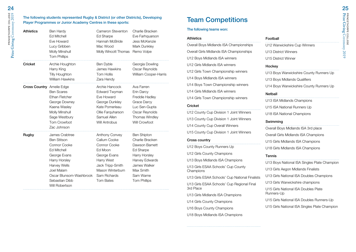The following students represented Rugby & District (or other Districts), Developing<br>
Player Programmes or Junier Academy Contres in these sports:<br>
Team Competitions Player Programmes or Junior Academy Centres in these sports:

| <b>Athletics</b>                 | Ben Hardy<br><b>Ed Mitchell</b><br>Eve Howard<br>Lucy Gribben<br>Molly Minshull<br><b>Tom Phillips</b>                                                                                                   | Cameron Steventon<br>Ed Sharpe<br>Hannah McBride<br>Mac Wood<br>Molly Wincott Thomas                                                                                | Charlie Bracken<br>Eve Farhquarson<br>Jess McKenzie<br>Mark Dunkley<br>Remo Volpe                                                                                        |
|----------------------------------|----------------------------------------------------------------------------------------------------------------------------------------------------------------------------------------------------------|---------------------------------------------------------------------------------------------------------------------------------------------------------------------|--------------------------------------------------------------------------------------------------------------------------------------------------------------------------|
| <b>Cricket</b>                   | Archie Houghton<br>Harry King<br>Tilly Houghton<br><b>William Hawkins</b>                                                                                                                                | Ben Dyble<br>James Hawkins<br>Tom Hollis<br>Zara Hendy                                                                                                              | Georgia Dowling<br>Oscar Reynolds<br>William Cooper-Harris                                                                                                               |
| <b>Cross Country</b> Amelie Edge | <b>Ben Scares</b><br>Ethan Fletcher<br>George Downey<br>Kaena Wasley<br>Molly Minshull<br>Sage Westbury<br><b>Tom Crowfoot</b><br>Zac Johnson                                                            | Archie Hancock<br>Edward Twyman<br>Eve Howard<br>George Dunkley<br>Kate Pomerleau<br>Ollie Farquharson<br>Samuel Allen<br><b>Will Antrobus</b>                      | Ava Farren<br>Erin Darcy<br>Freddie Hadley<br>Grace Darcy<br>Luc Sen-Gupta<br>Oscar Reynolds<br>Thomas Windley<br>Will Crowfoot                                          |
| Rugby                            | James Crabtree<br><b>Ben Stitson</b><br>Connor Cooke<br><b>Ed Mitchell</b><br>George Evans<br>Harry Horsley<br>Harvey Wells<br>Joel Malam<br>Oscar Blunsom-Washbrook<br>Sebastian Dibb<br>Will Robertson | Anthony Convey<br>Callum Cooke<br>Connor Cooke<br>Ed Moon<br>George Evans<br>Harry West<br>Jack Tripp-Smith<br>Mason Winterburn<br>Sam Richards<br><b>Tom Bates</b> | <b>Ben Shipton</b><br>Charlie Bracken<br>Dawson Barnett<br>Ed Sharpe<br>Harry Horsley<br>Harvey Edwards<br>James Walker<br>Max Smith<br>Sam Warne<br><b>Tom Phillips</b> |

#### The following teams won:

| <b>Athletics</b>                         |
|------------------------------------------|
| Overall Boys Midlands ISA Championships  |
| Overall Girls Midlands ISA Championships |
| U12 Boys Midlands ISA winners            |
| U12 Girls Midlands ISA winners           |
| U12 Girls Town Championship winners      |
| U14 Boys Midlands ISA winners            |
| U14 Boys Town Championship winners       |
| U14 Girls Midlands ISA winners           |
| U14 Girls Town Championship winners      |

#### **Cricket**

U12 County Cup Division 1 Joint Winners U13 County Cup Division 1 Joint Winners U14 County Cup Overall Winners U15 County Cup Division 1 Joint Winners

#### Cross country

U12 Boys County Runners Up

U12 Girls County Champions

U13 Boys Midlands ISA Champions

U13 Girls ESAA Schools' Cup County **Champions** 

U13 Girls ESAA Schools' Cup National Finalists

U13 Girls ESAA Schools' Cup Regional Final 3rd Place

U13 Girls Midlands ISA Champions

U14 Girls County Champions

U16 Boys County Champions

U18 Boys Midlands ISA Champions

#### Football

U12 Warwickshire Cup Winners

U13 District Winners

U15 District Winner

#### Hockey

U13 Boys Warwickshire County Runners Up

U13 Boys Midlands Qualifiers

U14 Boys Warwickshire County Runners Up

#### Netball

U13 ISA Midlands Champions

U15 ISA National Runners Up

U18 ISA National Champions

#### Swimming

Overall Boys Midlands ISA 3rd place Overall Girls Midlands ISA Champions U15 Girls Midlands ISA Champions U18 Girls Midlands ISA Champions

#### **Tennis**

U13 Boys National ISA Singles Plate Champion U13 Girls Aegon Midlands Finalists U13 Girls National ISA Doubles Champions U13 Girls Warwickshire champions U15 Girls National ISA Doubles Plate Runners-Up

U15 Girls National ISA Doubles Runners-Up

U15 Girls National ISA Singles Plate Champion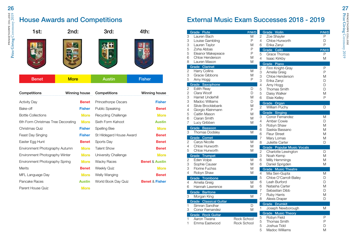### House Awards and Competitions



| Competitions                       | Winning house | Competitions               | Winning house             |
|------------------------------------|---------------|----------------------------|---------------------------|
| <b>Activity Day</b>                | <b>Benet</b>  | <b>Princethorpe Oscars</b> | <b>Fisher</b>             |
| Bake-off                           | <b>Fisher</b> | <b>Public Speaking</b>     | <b>Benet</b>              |
| <b>Bottle Collections</b>          | <b>More</b>   | Recycling Challenge        | <b>More</b>               |
| 6th Form Christmas Tree Decorating | <b>More</b>   | Sixth Form Kahoot          | <b>Austin</b>             |
| Christmas Quiz                     | <b>Fisher</b> | Spelling Bee               | <b>More</b>               |
| Feast Day Singing                  | <b>Fisher</b> | St Hildegard House Award   | <b>Benet</b>              |
| Easter Egg Hunt                    | Benet         | Sports Day                 | <b>Benet</b>              |
| Environment Photography Autumn     | <b>More</b>   | Talent Show                | <b>Benet</b>              |
| Environment Photography Winter     | <b>More</b>   | University Challenge       | <b>More</b>               |
| Environment Photography Spring     | <b>More</b>   | <b>Wacky Races</b>         | <b>Benet &amp; Austin</b> |
| <b>Merits</b>                      | <b>Benet</b>  | <b>Weekly Quiz</b>         | <b>More</b>               |
| MFL Language Day                   | <b>More</b>   | Welly Wanging              | <b>Benet</b>              |
| Pancake Races                      | <b>Austin</b> | World Book Day Quiz        | <b>Benet &amp; Fisher</b> |
| Parent House Quiz                  | <b>More</b>   |                            |                           |

### External Music Exam Successes 2018 - 2019

|                | Grade Flute                   | P/M/D              |                | Grade Violin                      | P/M/D |
|----------------|-------------------------------|--------------------|----------------|-----------------------------------|-------|
| 3              | Lauren Bach                   | M                  | 2              | Zoe Shayler                       | P     |
| 3              | Louise Gambling               | P                  | 4              | Chloe Hurworth                    | D     |
| 3              | Lauren Taylor                 | M                  | 6              | Erika Zanyi                       | P     |
| 5              | Zoha Abbas                    | P                  |                | Grade Cello                       | P/M/D |
| 5              | Eleanor Makepeace             | P                  | 5              | <b>Grace Thomas</b>               | P     |
| 6              | Chloe Henderson               | M                  | 4              | <b>Isaac Kirkby</b>               | M     |
| 8              | Lauren Mason                  | M                  |                | Grade Piano                       |       |
|                | <b>Grade Clarinet</b>         |                    | 2              | Finn Knight-Gray                  | P     |
| $\overline{c}$ | Harry Collins                 | M                  | 3              | Amelia Greig                      | P     |
| 3              | Gracie Gibbons                | M                  | 3              | Chloe Henderson                   | M     |
| 5              | Amy Hogg                      | P                  | 3              | Erika Zanyi                       | D     |
|                | Grade Saxophone               |                    | $\overline{4}$ | Amy Hogg                          | D     |
| 2              | <b>Edith Reav</b>             | D                  | 5              | <b>Thomas Smith</b>               | D     |
| 2              | Clara Woolf                   | D                  | 5              | Daisy Walker                      | M     |
| 3              | Harriet Underhill             | M                  | 6              |                                   | P     |
| 3              | Madoc Williams                | D                  |                | Elsie Kelley                      |       |
| 4              | Silvie Brocklebank            | M                  |                | Grade Organ                       |       |
| 4              | Giorgio Kleinmann             | P                  | 2              | <b>William Puchy</b>              | D     |
|                | Caitlin Mason                 | M                  |                | Grade Singing                     |       |
| 5              |                               |                    | 3              | Conor Fernandez                   | M     |
| 6              | Ciaran Smith                  | M<br>M             | 4              | Amber Cowie                       | D     |
| 7              | Lucy Gribben                  |                    | 5              | Robyn Shaw                        | M     |
|                | Grade Bassoon                 |                    | 6              | Saskia Bassano                    | M     |
| 3              | Thomas Dodsley                | M                  | 6              | <b>Fleur Street</b>               | M     |
|                | Grade Cornet                  |                    | $\overline{7}$ | Mary Lomas                        | M     |
| 2              | Carys Nicolle                 | M                  | 8              | Juliette Carter                   | D     |
| 4              | Chloe Hurworth                | M                  |                | <b>Grade Popular Music Vocals</b> |       |
| 5              | Chloe Hurworth                | M                  | $\overline{c}$ | Charlotte Lewington               | D     |
|                | Grade Trumpet                 |                    | 3              | Noah Kemp                         | M     |
| 2              | Eden Volpe                    | M                  | 6              | Milly Hemmings                    | M     |
| 3              | Sophie Causer                 | M                  | 6              | Daniel Sprigden                   | M     |
| 3              | <b>Florine Fuchss</b>         | M                  |                |                                   |       |
| 4              | Robyn Shaw                    | M                  |                | <b>Grade Music Theatre</b>        |       |
|                |                               |                    | 4              | Mia Sen-Gupta                     | M     |
|                | Grade Trombone                |                    | 5              | Chloe O'Carroll-Bailey            | D     |
| 4              | Amelia Greig                  | M                  | 6              | Leah Burford                      | D     |
| 6              | Hannah Lawrence               | M                  | 6              | Natasha Carter                    | M     |
|                | Grade Baritone                |                    | $\overline{7}$ | Sebastian Dibb                    | D     |
| 3              | Morgan King                   | M                  | $\overline{7}$ | Ruby Harris                       | M     |
|                | <b>Grade</b> Classical Guitar |                    | 8              | Alexis Draper                     | D     |
| 1              | Simran Sandhar                | D                  |                | Grade Drumkit                     |       |
| 3              | Conor Fernandez               | M                  | 1              | Joseph Newborough                 | M     |
|                | Grade Rock Guitar             |                    |                | <b>Grade Music Theory</b>         |       |
| 1              | Aaron Tiwana                  | <b>Rock School</b> | 5              | Robyn Field                       | P     |
| 1              | Emma Eastwood                 | Rock School        | 5              | <b>Thomas Smith</b>               | P     |
|                |                               |                    | 5              | Joshua Tidd                       | D     |
|                |                               |                    | 5              | Madoc Williams                    | M     |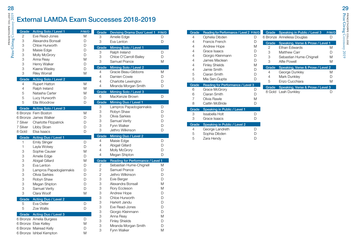## External LAMDA Exam Successes 2018-2019

| Grade          | <b>Acting Solo / Level 1</b>                      | P/M/D  | Grade          | Devising Drama Duo/ Level 1 P/M/D |   |
|----------------|---------------------------------------------------|--------|----------------|-----------------------------------|---|
| $\overline{2}$ | Eve Read-Jones                                    | M      | 3              | Amelie Edge                       | D |
| 3              | Alexandra Bonsall                                 | D      | 3              | Eva Lenton                        | D |
| 3              | Chloe Hurworth                                    | D      | Grade          | Miming Solo / Level 1             |   |
| 3              | Maisie Edge                                       | D      | 3              | Ralph Ireland                     | D |
| 3              | Molly McGrory                                     | D      |                |                                   |   |
| 3              | Anna Reay                                         | M      | 3              | Chloe O'Carroll-Bailey            | D |
| 3              | Henry Walker                                      | D      | 3              | Samuel Prance                     | M |
| 3              | Kaena Wasley                                      | D      | Grade          | Miming Solo / Level 2             |   |
| 3              | <b>Riley Worrall</b>                              | M      | 4              | Gracie Beau-Gibbons               | M |
|                |                                                   |        | 4              | Damien Cowie                      | D |
| Grade          | Acting Solo / Level 2                             |        | 4              | Charlotte Lewington               | D |
| 4              | <b>Rupert Hatton</b>                              | M      | 4              | Miranda Morgan Smith              | D |
| $\overline{4}$ | Ralph Ireland                                     | M      |                |                                   |   |
| 5              | Natasha Carter                                    | M      | Grade          | Miming Solo / Level 3             |   |
| 5              | Lucy Hurworth                                     | D      | 6              | MacKenzie Brown                   | D |
| 5              | Ella Woodrow                                      | D      | Grade          | <b>Miming Duo / Level 1</b>       |   |
| Grade          | Acting Solo / Level 3                             |        | 3              | Lampros Papadogiannakis           | D |
|                | 6 Bronze Fern Boston                              | M      | 3              | Robyn Shaw                        | D |
|                | 6 Bronze James Walker                             | D      | 3              | Olivia Sarkies                    | D |
| 7 Silver       | Charlotte Fitzpatrick                             | D      | 3              | Samuel Verity                     | D |
|                |                                                   |        | 3              | Fynn Walker                       | D |
| 7 Silver       | Libby Sloan                                       | D      | 3              | Jethro Wilkinson                  | D |
|                |                                                   |        |                |                                   |   |
| 8 Gold         | Elsa Isaacs                                       | D      |                |                                   |   |
| Grade          | Acting Duo / Level 1                              |        | Grade          | Miming Duo / Level 2              |   |
| 1              | <b>Emily Slinger</b>                              | D      | 4              | Maisie Edge                       | D |
| 1              | Layla Wolsey                                      | D      | 4              | Abigail Gillard                   | D |
| 3              | Sophie Causer                                     | M      | 4              | Molly McGrory                     | D |
|                |                                                   | D      | 4              | Megan Shipton                     | D |
| 3              | Amelie Edge                                       | M      | Grade          |                                   |   |
| 3              | Abigail Gillard                                   | D      |                | Reading for Performance / Level 1 | M |
| 3              | Eva Lenton                                        |        | $\overline{2}$ | Sebastian Hume-Chignell           |   |
| 3              | Lampros Papadogiannakis                           | D      | 2              | Samuel Prance                     | D |
| 3              | Olivia Sarkies                                    | D      | $\mathbf{2}$   | Jethro Wilkinson                  | D |
| 3              | Robyn Shaw                                        | D      | 3              | Evie Berger                       | D |
| 3              | Megan Shipton                                     | D      | 3              | Alexandra Bonsall                 | M |
| 3              | Samuel Verity                                     | D      | 3              | Rory Eccleson                     | M |
| 3              | Clara Woolf                                       | M      | 3              | Andrew Hope                       | D |
| Grade          | Acting Duo / Level 2                              |        | 3              | Chloe Hurworth                    | D |
| 5              | Eva Ostler                                        | D      | 3              | Harkirit Jandu                    | D |
| 5              | Zoe Wallis                                        | D      | 3              | Eve Read-Jones                    | D |
|                |                                                   |        | 3              | Giorgio Kleinmann                 | D |
|                | Grade Acting Duo / Level 3                        |        | 3              | Anna Reav                         | M |
|                | 6 Bronze Amelia Burgess                           | D      | 3              | <b>Finley Shields</b>             | D |
|                | 6 Bronze Elsie Kelley                             | M      | 3              | Miranda Morgan Smith              | D |
|                | 6 Bronze Mairead Kelly<br>6 Bronze Ishbel Kempton | D<br>M | 3              | Fynn Walker                       | M |

| Grade          | Reading for Performance / Level 2 P/M/D |   | Grade  | Speaking in Public / Level 3      | P/M/D |
|----------------|-----------------------------------------|---|--------|-----------------------------------|-------|
| 4              | Ophelia Dibden                          | D |        | 6 Bronze Anneliesa Douglas        | D     |
| 4              | Francis French                          | D | Grade  | Speaking, Verse & Prose / Level 1 |       |
| 4              | Andrew Hope                             | M | 2      | Ethan Edwards                     | M     |
| 4              | Grace Isaacs                            | D | 3      | <b>Matthew Carr</b>               | D     |
| $\overline{4}$ | Giorgio Kleinmann                       | D | 3      | Sebastian Hume-Chignell           | M     |
| $\overline{4}$ | James Maclean                           | D | 3      | Alfie Powell                      | M     |
| 4              | <b>Finley Shields</b>                   | Μ | Grade  | Speaking, Verse & Prose / Level 2 |       |
| 4              | Jamie Smith                             | D | 4      | George Dunkley                    | M     |
| 5              | Ciaran Smith                            | D | 4      | Mark Dunkley                      | D     |
| 5              | Mia Sen-Gupta                           | D | 5      | Enzo Cucchiara                    | M     |
| Grade          | Reading for Performance / Level 3       |   |        |                                   |       |
|                |                                         |   |        |                                   |       |
| 6              | Grace McGrory                           | D | Grade  | Speaking, Verse & Prose / Level 3 |       |
| 6              | Ciaran Smith                            | D | 8 Gold | Leah Dunkley                      | D     |
| 7              | Olivia Rawle                            | M |        |                                   |       |
| 8              | Caitlin McBride                         | D |        |                                   |       |
| Grade          | Speaking in Public / Level 1            |   |        |                                   |       |
| 3              | Issabella Holt                          | D |        |                                   |       |
| 3              | Grace Isaacs                            | D |        |                                   |       |
| Grade          | Speaking in Public / Level 2            |   |        |                                   |       |
| 4              | George Landreth                         | D |        |                                   |       |
| 5              | Sophia Dibden                           | D |        |                                   |       |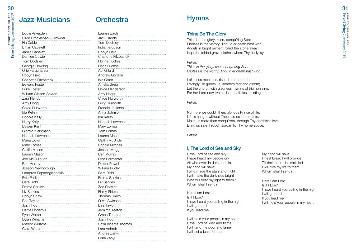### Jazz Musicians Orchestra

| Eddie Arkesden               | Laur             |
|------------------------------|------------------|
| Silvie Brocklebank-Crowder   | Jack             |
| <b>Fin Calder</b>            | Tom              |
| Ethan Capelett               | India            |
| Jamie Capelett               | Rob <sup>®</sup> |
| Damien Cowie                 | Char             |
| .<br><b>Tom Dodslev</b>      | Flori            |
| Georgia Dowling              | Hen              |
| Ollie Farquharson            | Abi (            |
| Robyn Field                  | Andr             |
| <b>Charlotte Fitzpatrick</b> | Isla (           |
| <b>Edward Foster</b>         | Ame              |
| Luke Foster                  | Chlo             |
| William Gibson-Sexton        | Amy              |
| Zara Hendy                   | Chlo             |
| Amy Hogg                     | Lucy             |
| Chloe Hurworth               | Fred             |
| <b>Ida Kellev</b>            | Anna             |
| <b>Bobbie Kelly</b>          | Ida ł            |
| Harry Kelly                  | Hanı             |
| Bowen Kent                   | Mary             |
| Giorgio Kleinmann            | Tom              |
| Hannah Lawrence              | Laur             |
| Maria Lloyd                  | Caitl            |
| Mary Lomas                   | Sopl             |
| Caitlin Mason                | Josh             |
| Lauren Mason                 | Ben              |
| Joe McCullough               | Dina             |
| <b>Ben Murray</b>            | Dext             |
| Joseph Newborough            | Willia           |
| Lampros Papadogiannakis      | Cara             |
| <b>Evie Phillips</b>         | Emn              |
| Cara Ridd                    | Liv S            |
| <b>Emma Sarkies</b><br>.     | Zoe              |
| <b>Liv Sarkies</b>           | Finle            |
| Robyn Shaw                   | Thor             |
| Bea Taylor                   | Olivia           |
| Josh Tidd                    | Bea              |
| <b>Hattie Underhill</b>      | Jem              |
| Fynn Walker                  | Grac             |
| Dylan Williams               | Josh             |
| Madoc Williams               | Sofia            |
| Clara Woolf                  | Lara             |
|                              | Andr             |
|                              |                  |

| Lauren Bach                  |
|------------------------------|
| Jack Dando                   |
| <b>Tom Dodsley</b>           |
| India Ferguson               |
| Robyn Field                  |
| <b>Charlotte Fitzpatrick</b> |
| <b>Florine Fuchss</b>        |
| Henri Fuchss                 |
| Abi Gillard                  |
| Andrew Gordon                |
| Isla Grant                   |
| Amelia Greig                 |
| Chloe Henderson              |
| Amy Hogg                     |
| Chloe Hurworth               |
| Lucy Hurworth                |
| Freddie Jackson              |
| Anna Johnson                 |
| Ida Kelley                   |
| Hannah Lawrence              |
| Mary Lomas                   |
| Tom Lomas                    |
| Lauren Mason                 |
| Caitlin McBride              |
| Sophie Mitchell              |
| Joshua Mogg                  |
| Ben Murray                   |
| Dina Parmenter               |
| Dexter Powell                |
| William Puchy                |
| Cara Ridd                    |
| Emma Sarkies                 |
| Liv Sarkies                  |
| Zoe Shayler                  |
| <b>Finley Shields</b>        |
| <b>Thomas Smith</b>          |
| Olivia Swinson               |
| Bea Taylor                   |
| Jemima Teeton                |
| Grace Thomas                 |
| Josh Tidd                    |
| Sofia Vicente Thomas         |
| Lara Vohrah                  |
| Andrea Zanyi                 |
| Erika Zanyi                  |

### **Hymns**

#### Thine Be The Glory

Thine be the glory, risen, conqu'ring Son; Endless is the victory, Thou o'er death hast won; Angels in bright raiment rolled the stone away, Kept the folded grave clothes where Thy body lay.

#### *Refrain*

*Thine is the glory, risen conqu'ring Son, Endless is the vict'ry, Thou o'er death hast won.*

Lo! Jesus meets us, risen from the tomb; Lovingly He greets us, scatters fear and gloom; Let the church with gladness, hymns of triumph sing; For her Lord now liveth, death hath lost its sting.

#### *Refrain*

No more we doubt Thee, glorious Prince of life; Life is naught without Thee; aid us in our strife; Make us more than conqu'rors, through Thy deathless love: Bring us safe through Jordan to Thy home above.

*Refrain*

### I, The Lord of Sea and Sky

I, the Lord of sea and sky I have heard my people cry All who dwell in dark and sin My hand will save: I who made the stars and night I will make the darkness bright Who will bear my light to them? Whom shall I send?

Here I am Lord Is it I Lord? I have heard you calling in the night I will go Lord If you lead me

I will hold your people in my heart I, the Lord of wind and flame I will tend the poor and lame I will set a feast for them

My hand will save: Finest bread I will provide Till their hearts be satisfied I will give my life to them Whom shall I send?

Here I am Lord  $Is it II ord?$ I have heard you calling in the night I will go Lord If you lead me I will hold your people in my heart